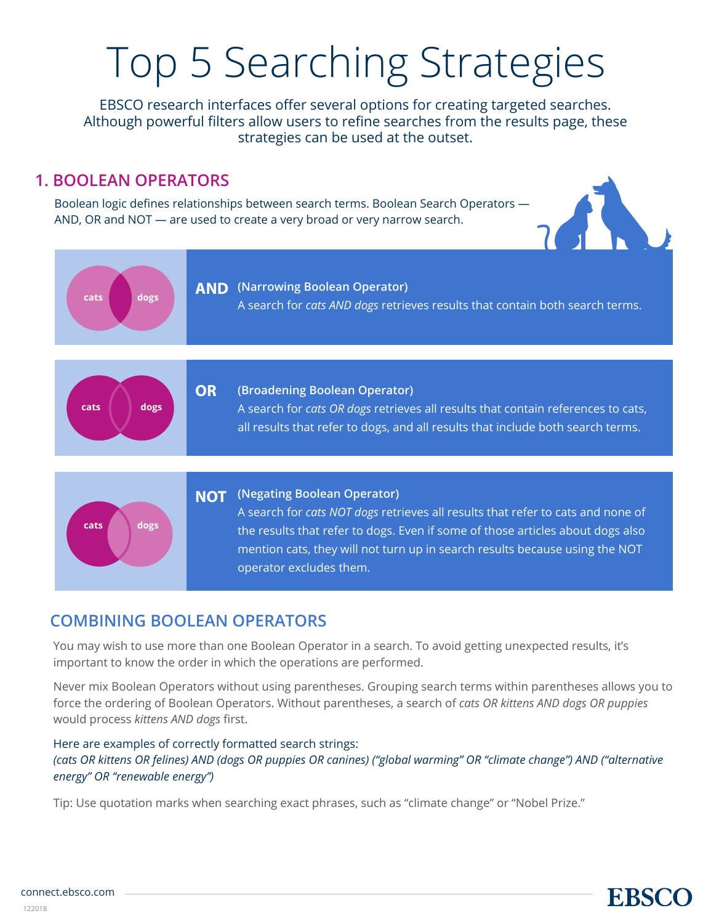# Top 5 Searching Strategies

EBSCO research interfaces offer several options for creating targeted searches. Although powerful filters allow users to refine searches from the results page, these strategies can be used at the outset.

## **1. BOOLEAN OPERATORS**

Boolean logic defines relationships between search terms. Boolean Search Operators — AND, OR and NOT — are used to create a very broad or very narrow search.



**EBSCC** 



## **COMBINING BOOLEAN OPERATORS**

You may wish to use more than one Boolean Operator in a search. To avoid getting unexpected results, it's important to know the order in which the operations are performed.

Never mix Boolean Operators without using parentheses. Grouping search terms within parentheses allows you to force the ordering of Boolean Operators. Without parentheses, a search of *cats OR kittens AND dogs OR puppies* would process *kittens AND dogs* first.

### Here are examples of correctly formatted search strings: *(cats OR kittens OR felines) AND (dogs OR puppies OR canines) ("global warming" OR "climate change") AND ("alternative energy" OR "renewable energy")*

Tip: Use quotation marks when searching exact phrases, such as "climate change" or "Nobel Prize."